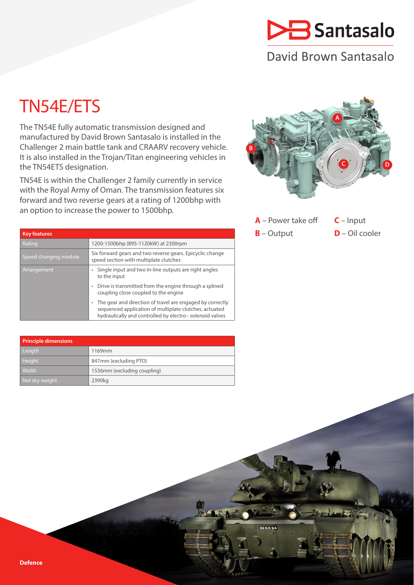# Santasalo

# David Brown Santasalo

# TN54E/ETS

The TN54E fully automatic transmission designed and manufactured by David Brown Santasalo is installed in the Challenger 2 main battle tank and CRAARV recovery vehicle. It is also installed in the Trojan/Titan engineering vehicles in the TN54ETS designation.

TN54E is within the Challenger 2 family currently in service with the Royal Army of Oman. The transmission features six forward and two reverse gears at a rating of 1200bhp with an option to increase the power to 1500bhp.



| $A$ – Power take off | $C$ – Input      |
|----------------------|------------------|
| $B$ – Output         | $D$ – Oil cooler |

62 K K 94

| <b>Key features</b>   |                                                                                                                                                                                |  |  |  |
|-----------------------|--------------------------------------------------------------------------------------------------------------------------------------------------------------------------------|--|--|--|
| Rating                | 1200-1500bhp (895-1120kW) at 2300rpm                                                                                                                                           |  |  |  |
| Speed changing module | Six forward gears and two reverse gears. Epicyclic change<br>speed section with multiplate clutches                                                                            |  |  |  |
| Arrangement           | Single input and two in-line outputs are right angles<br>to the input                                                                                                          |  |  |  |
|                       | Drive is transmitted from the engine through a splined<br>coupling close coupled to the engine                                                                                 |  |  |  |
|                       | The gear and direction of travel are engaged by correctly<br>sequenced application of multiplate clutches, actuated<br>hydraulically and controlled by electro-solenoid valves |  |  |  |

| Principle dimensions |                             |  |  |  |
|----------------------|-----------------------------|--|--|--|
| Length               | 1169mm                      |  |  |  |
| <b>Height</b>        | 847mm (excluding PTO)       |  |  |  |
| Width                | 1536mm (excluding coupling) |  |  |  |
| Net dry weight       | 2390 <sub>kg</sub>          |  |  |  |